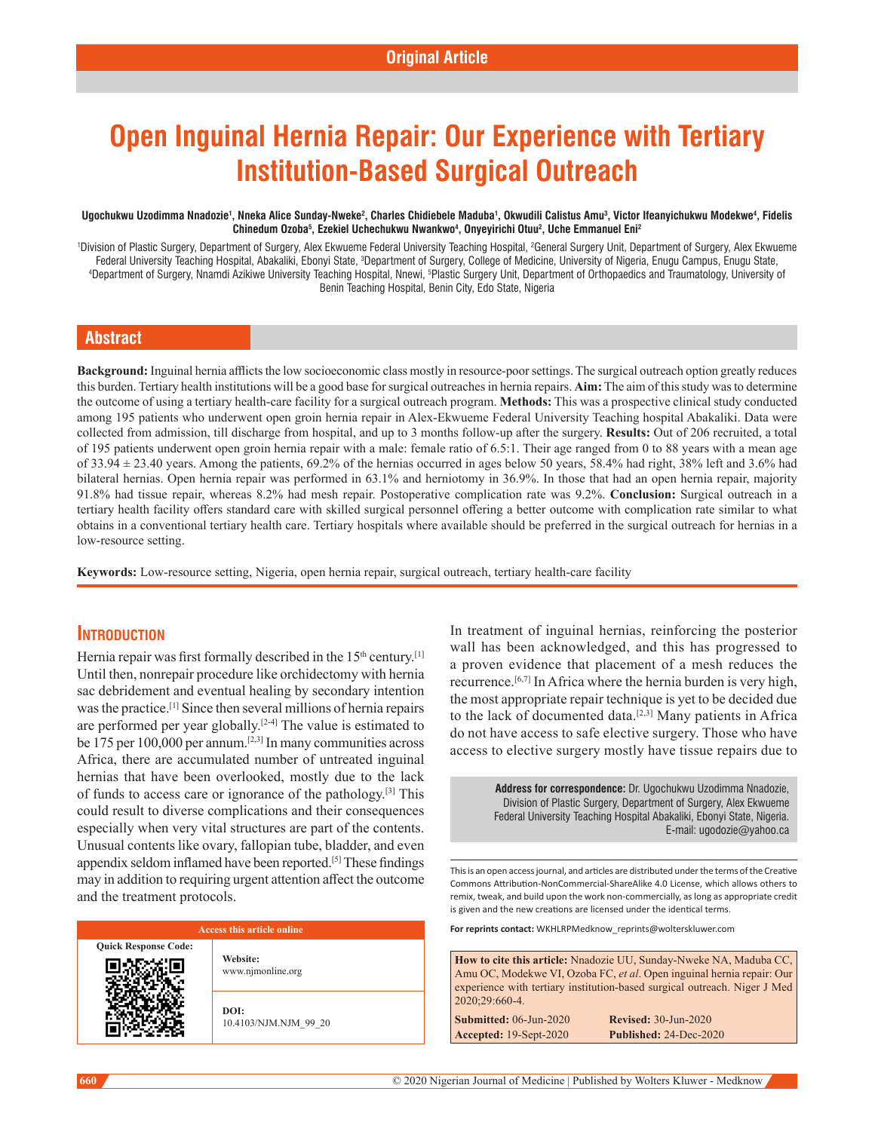# **Open Inguinal Hernia Repair: Our Experience with Tertiary Institution-Based Surgical Outreach**

#### Ugochukwu Uzodimma Nnadozie<sup>1</sup>, Nneka Alice Sunday-Nweke<sup>2</sup>, Charles Chidiebele Maduba<sup>1</sup>, Okwudili Calistus Amu<sup>3</sup>, Victor Ifeanyichukwu Modekwe<sup>4</sup>, Fidelis **Chinedum Ozoba5 , Ezekiel Uchechukwu Nwankwo4 , Onyeyirichi Otuu2 , Uche Emmanuel Eni2**

'Division of Plastic Surgery, Department of Surgery, Alex Ekwueme Federal University Teaching Hospital, <sup>2</sup>General Surgery Unit, Department of Surgery, Alex Ekwueme Federal University Teaching Hospital, Abakaliki, Ebonyi State, <sup>3</sup>Department of Surgery, College of Medicine, University of Nigeria, Enugu Campus, Enugu State,<br>Department of Surgery, Noamdi Azikiwe University Teaching Hosp Department of Surgery, Nnamdi Azikiwe University Teaching Hospital, Nnewi, 5Plastic Surgery Unit, Department of Orthopaedics and Traumatology, University of Benin Teaching Hospital, Benin City, Edo State, Nigeria

## **Abstract**

**Background:** Inguinal hernia afflicts the low socioeconomic class mostly in resource‑poor settings. The surgical outreach option greatly reduces this burden. Tertiary health institutions will be a good base for surgical outreaches in hernia repairs. **Aim:** The aim of this study was to determine the outcome of using a tertiary health‑care facility for a surgical outreach program. **Methods:** This was a prospective clinical study conducted among 195 patients who underwent open groin hernia repair in Alex‑Ekwueme Federal University Teaching hospital Abakaliki. Data were collected from admission, till discharge from hospital, and up to 3 months follow‑up after the surgery. **Results:** Out of 206 recruited, a total of 195 patients underwent open groin hernia repair with a male: female ratio of 6.5:1. Their age ranged from 0 to 88 years with a mean age of  $33.94 \pm 23.40$  years. Among the patients,  $69.2\%$  of the hernias occurred in ages below 50 years,  $58.4\%$  had right,  $38\%$  left and  $3.6\%$  had bilateral hernias. Open hernia repair was performed in 63.1% and herniotomy in 36.9%. In those that had an open hernia repair, majority 91.8% had tissue repair, whereas 8.2% had mesh repair. Postoperative complication rate was 9.2%. **Conclusion:** Surgical outreach in a tertiary health facility offers standard care with skilled surgical personnel offering a better outcome with complication rate similar to what obtains in a conventional tertiary health care. Tertiary hospitals where available should be preferred in the surgical outreach for hernias in a low-resource setting.

Keywords: Low-resource setting, Nigeria, open hernia repair, surgical outreach, tertiary health-care facility

## **Introduction**

Hernia repair was first formally described in the  $15<sup>th</sup>$  century.<sup>[1]</sup> Until then, nonrepair procedure like orchidectomy with hernia sac debridement and eventual healing by secondary intention was the practice.[1] Since then several millions of hernia repairs are performed per year globally.<sup>[2-4]</sup> The value is estimated to be 175 per 100,000 per annum.[2,3] In many communities across Africa, there are accumulated number of untreated inguinal hernias that have been overlooked, mostly due to the lack of funds to access care or ignorance of the pathology.[3] This could result to diverse complications and their consequences especially when very vital structures are part of the contents. Unusual contents like ovary, fallopian tube, bladder, and even appendix seldom inflamed have been reported.<sup>[5]</sup> These findings may in addition to requiring urgent attention affect the outcome and the treatment protocols.

### **Access this article online**

**Quick Response Code:**

**Website:** www.njmonline.org

**DOI:** 10.4103/NJM.NJM\_99\_20 In treatment of inguinal hernias, reinforcing the posterior wall has been acknowledged, and this has progressed to a proven evidence that placement of a mesh reduces the recurrence.[6,7] In Africa where the hernia burden is very high, the most appropriate repair technique is yet to be decided due to the lack of documented data.<sup>[2,3]</sup> Many patients in Africa do not have access to safe elective surgery. Those who have access to elective surgery mostly have tissue repairs due to

> **Address for correspondence:** Dr. Ugochukwu Uzodimma Nnadozie, Division of Plastic Surgery, Department of Surgery, Alex Ekwueme Federal University Teaching Hospital Abakaliki, Ebonyi State, Nigeria. E-mail: ugodozie@yahoo.ca

This is an open access journal, and articles are distributed under the terms of the Creative Commons Attribution‑NonCommercial‑ShareAlike 4.0 License, which allows others to remix, tweak, and build upon the work non‑commercially, as long as appropriate credit is given and the new creations are licensed under the identical terms.

**For reprints contact:** WKHLRPMedknow\_reprints@wolterskluwer.com

**How to cite this article:** Nnadozie UU, Sunday-Nweke NA, Maduba CC, Amu OC, Modekwe VI, Ozoba FC, *et al*. Open inguinal hernia repair: Our experience with tertiary institution-based surgical outreach. Niger J Med 2020;29:660-4.

**Submitted:** 06-Jun-2020 **Revised:** 30-Jun-2020 **Accepted:** 19-Sept-2020 **Published:** 24-Dec-2020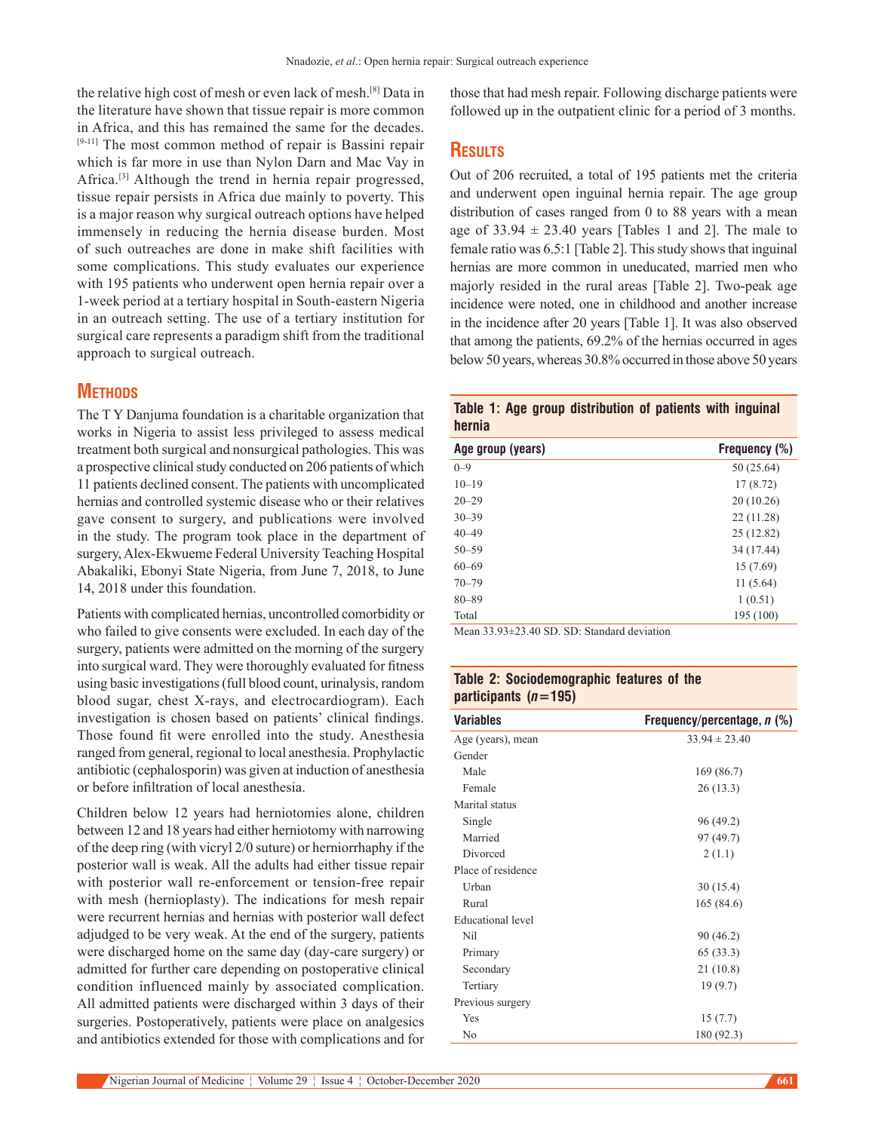the relative high cost of mesh or even lack of mesh.[8] Data in the literature have shown that tissue repair is more common in Africa, and this has remained the same for the decades. [9-11] The most common method of repair is Bassini repair which is far more in use than Nylon Darn and Mac Vay in Africa.[3] Although the trend in hernia repair progressed, tissue repair persists in Africa due mainly to poverty. This is a major reason why surgical outreach options have helped immensely in reducing the hernia disease burden. Most of such outreaches are done in make shift facilities with some complications. This study evaluates our experience with 195 patients who underwent open hernia repair over a 1-week period at a tertiary hospital in South-eastern Nigeria in an outreach setting. The use of a tertiary institution for surgical care represents a paradigm shift from the traditional approach to surgical outreach.

## **Methods**

The T Y Danjuma foundation is a charitable organization that works in Nigeria to assist less privileged to assess medical treatment both surgical and nonsurgical pathologies. This was a prospective clinical study conducted on 206 patients of which 11 patients declined consent. The patients with uncomplicated hernias and controlled systemic disease who or their relatives gave consent to surgery, and publications were involved in the study. The program took place in the department of surgery, Alex‑Ekwueme Federal University Teaching Hospital Abakaliki, Ebonyi State Nigeria, from June 7, 2018, to June 14, 2018 under this foundation.

Patients with complicated hernias, uncontrolled comorbidity or who failed to give consents were excluded. In each day of the surgery, patients were admitted on the morning of the surgery into surgical ward. They were thoroughly evaluated for fitness using basic investigations(full blood count, urinalysis, random blood sugar, chest X‑rays, and electrocardiogram). Each investigation is chosen based on patients' clinical findings. Those found fit were enrolled into the study. Anesthesia ranged from general, regional to local anesthesia. Prophylactic antibiotic (cephalosporin) was given at induction of anesthesia or before infiltration of local anesthesia.

Children below 12 years had herniotomies alone, children between 12 and 18 years had either herniotomy with narrowing of the deep ring (with vicryl 2/0 suture) or herniorrhaphy if the posterior wall is weak. All the adults had either tissue repair with posterior wall re-enforcement or tension-free repair with mesh (hernioplasty). The indications for mesh repair were recurrent hernias and hernias with posterior wall defect adjudged to be very weak. At the end of the surgery, patients were discharged home on the same day (day-care surgery) or admitted for further care depending on postoperative clinical condition influenced mainly by associated complication. All admitted patients were discharged within 3 days of their surgeries. Postoperatively, patients were place on analgesics and antibiotics extended for those with complications and for those that had mesh repair. Following discharge patients were followed up in the outpatient clinic for a period of 3 months.

## **Results**

Out of 206 recruited, a total of 195 patients met the criteria and underwent open inguinal hernia repair. The age group distribution of cases ranged from 0 to 88 years with a mean age of  $33.94 \pm 23.40$  years [Tables 1 and 2]. The male to female ratio was 6.5:1 [Table 2]. This study shows that inguinal hernias are more common in uneducated, married men who majorly resided in the rural areas [Table 2]. Two-peak age incidence were noted, one in childhood and another increase in the incidence after 20 years [Table 1]. It was also observed that among the patients, 69.2% of the hernias occurred in ages below 50 years, whereas 30.8% occurred in those above 50 years

|        |  | Table 1: Age group distribution of patients with inguinal |  |  |
|--------|--|-----------------------------------------------------------|--|--|
| hernia |  |                                                           |  |  |

| Age group (years) | Frequency (%) |
|-------------------|---------------|
| $0 - 9$           | 50 (25.64)    |
| $10 - 19$         | 17(8.72)      |
| $20 - 29$         | 20(10.26)     |
| $30 - 39$         | 22 (11.28)    |
| $40 - 49$         | 25 (12.82)    |
| $50 - 59$         | 34 (17.44)    |
| $60 - 69$         | 15(7.69)      |
| $70 - 79$         | 11(5.64)      |
| $80 - 89$         | 1(0.51)       |
| Total             | 195 (100)     |

Mean 33.93±23.40 SD. SD: Standard deviation

## **Table 2: Sociodemographic features of the participants (***n***=195)**

| Variables                | Frequency/percentage, $n$ (%) |
|--------------------------|-------------------------------|
| Age (years), mean        | $33.94 \pm 23.40$             |
| Gender                   |                               |
| Male                     | 169 (86.7)                    |
| Female                   | 26(13.3)                      |
| Marital status           |                               |
| Single                   | 96 (49.2)                     |
| Married                  | 97 (49.7)                     |
| Divorced                 | 2(1.1)                        |
| Place of residence       |                               |
| Urban                    | 30(15.4)                      |
| Rural                    | 165 (84.6)                    |
| <b>Educational level</b> |                               |
| Nil                      | 90 (46.2)                     |
| Primary                  | 65 (33.3)                     |
| Secondary                | 21(10.8)                      |
| Tertiary                 | 19(9.7)                       |
| Previous surgery         |                               |
| Yes                      | 15(7.7)                       |
| No                       | 180 (92.3)                    |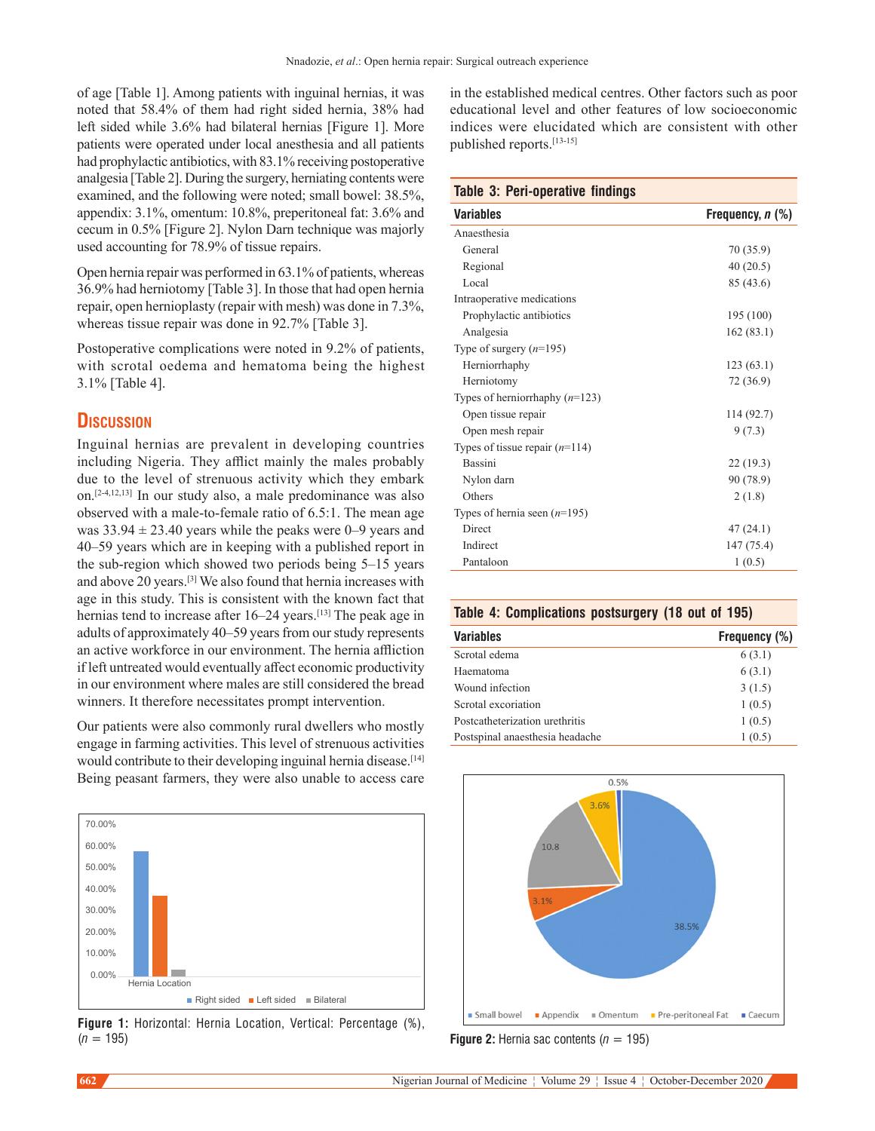of age [Table 1]. Among patients with inguinal hernias, it was noted that 58.4% of them had right sided hernia, 38% had left sided while 3.6% had bilateral hernias [Figure 1]. More patients were operated under local anesthesia and all patients had prophylactic antibiotics, with 83.1% receiving postoperative analgesia [Table 2]. During the surgery, herniating contents were examined, and the following were noted; small bowel: 38.5%, appendix: 3.1%, omentum: 10.8%, preperitoneal fat: 3.6% and cecum in 0.5% [Figure 2]. Nylon Darn technique was majorly used accounting for 78.9% of tissue repairs.

Open hernia repair was performed in 63.1% of patients, whereas 36.9% had herniotomy [Table 3]. In those that had open hernia repair, open hernioplasty (repair with mesh) was done in 7.3%, whereas tissue repair was done in 92.7% [Table 3].

Postoperative complications were noted in 9.2% of patients, with scrotal oedema and hematoma being the highest 3.1% [Table 4].

## **Discussion**

Inguinal hernias are prevalent in developing countries including Nigeria. They afflict mainly the males probably due to the level of strenuous activity which they embark on.[2-4,12,13] In our study also, a male predominance was also observed with a male‑to‑female ratio of 6.5:1. The mean age was  $33.94 \pm 23.40$  years while the peaks were 0–9 years and 40–59 years which are in keeping with a published report in the sub-region which showed two periods being 5–15 years and above 20 years.[3] We also found that hernia increases with age in this study. This is consistent with the known fact that hernias tend to increase after 16–24 years.<sup>[13]</sup> The peak age in adults of approximately 40–59 years from our study represents an active workforce in our environment. The hernia affliction if left untreated would eventually affect economic productivity in our environment where males are still considered the bread winners. It therefore necessitates prompt intervention.

Our patients were also commonly rural dwellers who mostly engage in farming activities. This level of strenuous activities would contribute to their developing inguinal hernia disease.<sup>[14]</sup> Being peasant farmers, they were also unable to access care



**Figure 1:** Horizontal: Hernia Location, Vertical: Percentage (%), (*n* = 195) **Figure 2:** Hernia sac contents (*n* = 195)

in the established medical centres. Other factors such as poor educational level and other features of low socioeconomic indices were elucidated which are consistent with other published reports.[13-15]

#### **Table 3: Peri-operative findings**

| <b>Variables</b>                 | Frequency, n (%) |  |  |
|----------------------------------|------------------|--|--|
| Anaesthesia                      |                  |  |  |
| General                          | 70 (35.9)        |  |  |
| Regional                         | 40(20.5)         |  |  |
| Local                            | 85 (43.6)        |  |  |
| Intraoperative medications       |                  |  |  |
| Prophylactic antibiotics         | 195 (100)        |  |  |
| Analgesia                        | 162(83.1)        |  |  |
| Type of surgery $(n=195)$        |                  |  |  |
| Herniorrhaphy                    | 123(63.1)        |  |  |
| Herniotomy                       | 72 (36.9)        |  |  |
| Types of herniorrhaphy $(n=123)$ |                  |  |  |
| Open tissue repair               | 114 (92.7)       |  |  |
| Open mesh repair                 | 9(7.3)           |  |  |
| Types of tissue repair $(n=114)$ |                  |  |  |
| <b>Bassini</b>                   | 22(19.3)         |  |  |
| Nylon darn                       | 90 (78.9)        |  |  |
| Others                           | 2(1.8)           |  |  |
| Types of hernia seen $(n=195)$   |                  |  |  |
| Direct                           | 47(24.1)         |  |  |
| Indirect                         | 147 (75.4)       |  |  |
| Pantaloon                        | 1(0.5)           |  |  |
|                                  |                  |  |  |

#### **Table 4: Complications postsurgery (18 out of 195)**

| <b>Variables</b>                | Frequency (%) |
|---------------------------------|---------------|
| Scrotal edema                   | 6(3.1)        |
| Haematoma                       | 6(3.1)        |
| Wound infection                 | 3(1.5)        |
| Scrotal excoriation             | 1(0.5)        |
| Postcatheterization urethritis  | 1(0.5)        |
| Postspinal anaesthesia headache | 1(0.5)        |
|                                 |               |

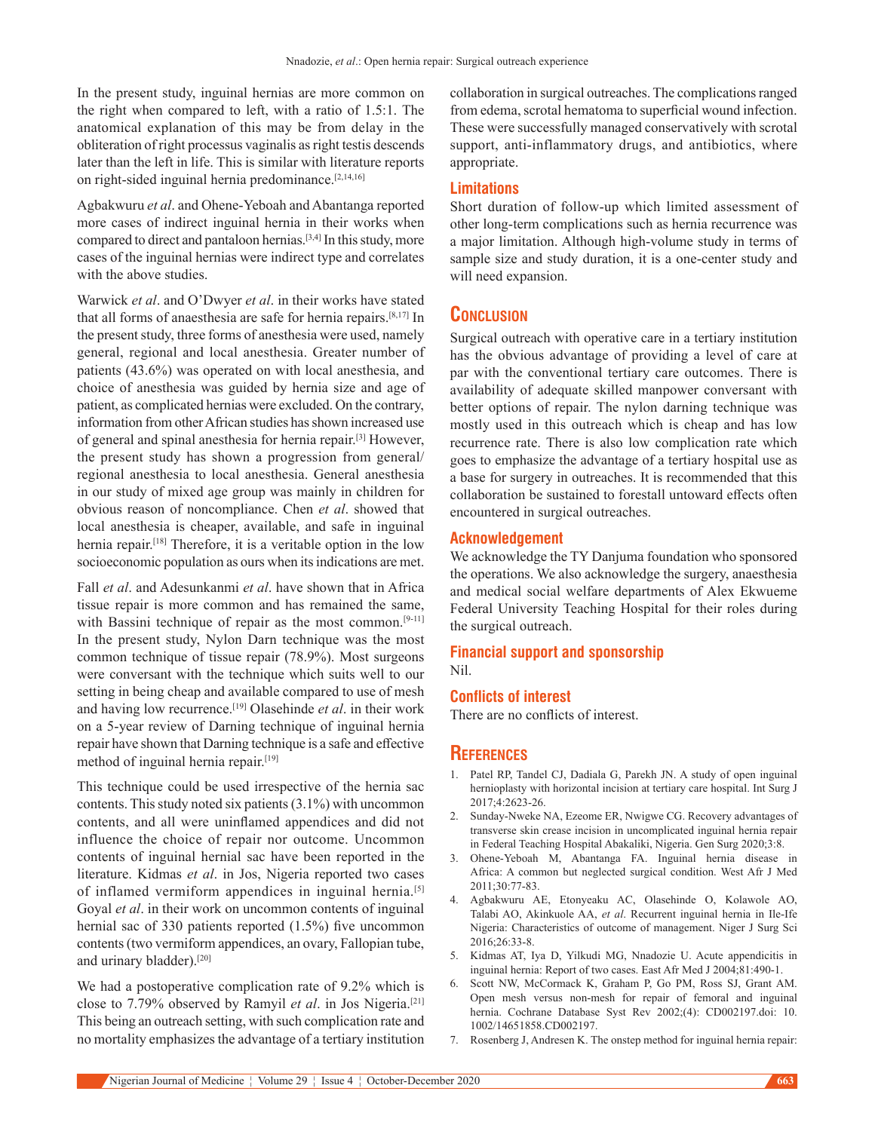In the present study, inguinal hernias are more common on the right when compared to left, with a ratio of 1.5:1. The anatomical explanation of this may be from delay in the obliteration of right processus vaginalis as right testis descends later than the left in life. This is similar with literature reports on right-sided inguinal hernia predominance.<sup>[2,14,16]</sup>

Agbakwuru *et al*. and Ohene‑Yeboah and Abantanga reported more cases of indirect inguinal hernia in their works when compared to direct and pantaloon hernias.[3,4] In this study, more cases of the inguinal hernias were indirect type and correlates with the above studies.

Warwick *et al*. and O'Dwyer *et al*. in their works have stated that all forms of anaesthesia are safe for hernia repairs.[8,17] In the present study, three forms of anesthesia were used, namely general, regional and local anesthesia. Greater number of patients (43.6%) was operated on with local anesthesia, and choice of anesthesia was guided by hernia size and age of patient, as complicated hernias were excluded. On the contrary, information from other African studies has shown increased use of general and spinal anesthesia for hernia repair.[3] However, the present study has shown a progression from general/ regional anesthesia to local anesthesia. General anesthesia in our study of mixed age group was mainly in children for obvious reason of noncompliance. Chen *et al*. showed that local anesthesia is cheaper, available, and safe in inguinal hernia repair.[18] Therefore, it is a veritable option in the low socioeconomic population as ours when its indications are met.

Fall *et al*. and Adesunkanmi *et al*. have shown that in Africa tissue repair is more common and has remained the same, with Bassini technique of repair as the most common.<sup>[9-11]</sup> In the present study, Nylon Darn technique was the most common technique of tissue repair (78.9%). Most surgeons were conversant with the technique which suits well to our setting in being cheap and available compared to use of mesh and having low recurrence.[19] Olasehinde *et al*. in their work on a 5‑year review of Darning technique of inguinal hernia repair have shown that Darning technique is a safe and effective method of inguinal hernia repair.<sup>[19]</sup>

This technique could be used irrespective of the hernia sac contents. This study noted six patients(3.1%) with uncommon contents, and all were uninflamed appendices and did not influence the choice of repair nor outcome. Uncommon contents of inguinal hernial sac have been reported in the literature. Kidmas *et al*. in Jos, Nigeria reported two cases of inflamed vermiform appendices in inguinal hernia.<sup>[5]</sup> Goyal *et al*. in their work on uncommon contents of inguinal hernial sac of 330 patients reported (1.5%) five uncommon contents(two vermiform appendices, an ovary, Fallopian tube, and urinary bladder).[20]

We had a postoperative complication rate of 9.2% which is close to 7.79% observed by Ramyil *et al*. in Jos Nigeria.[21] This being an outreach setting, with such complication rate and no mortality emphasizes the advantage of a tertiary institution collaboration in surgical outreaches. The complications ranged from edema, scrotal hematoma to superficial wound infection. These were successfully managed conservatively with scrotal support, anti-inflammatory drugs, and antibiotics, where appropriate.

#### **Limitations**

Short duration of follow-up which limited assessment of other long‑term complications such as hernia recurrence was a major limitation. Although high-volume study in terms of sample size and study duration, it is a one-center study and will need expansion.

## **Conclusion**

Surgical outreach with operative care in a tertiary institution has the obvious advantage of providing a level of care at par with the conventional tertiary care outcomes. There is availability of adequate skilled manpower conversant with better options of repair. The nylon darning technique was mostly used in this outreach which is cheap and has low recurrence rate. There is also low complication rate which goes to emphasize the advantage of a tertiary hospital use as a base for surgery in outreaches. It is recommended that this collaboration be sustained to forestall untoward effects often encountered in surgical outreaches.

#### **Acknowledgement**

We acknowledge the TY Danjuma foundation who sponsored the operations. We also acknowledge the surgery, anaesthesia and medical social welfare departments of Alex Ekwueme Federal University Teaching Hospital for their roles during the surgical outreach.

## **Financial support and sponsorship**

Nil.

#### **Conflicts of interest**

There are no conflicts of interest.

## **References**

- 1. Patel RP, Tandel CJ, Dadiala G, Parekh JN. A study of open inguinal hernioplasty with horizontal incision at tertiary care hospital. Int Surg J 2017;4:2623‑26.
- 2. Sunday‑Nweke NA, Ezeome ER, Nwigwe CG. Recovery advantages of transverse skin crease incision in uncomplicated inguinal hernia repair in Federal Teaching Hospital Abakaliki, Nigeria. Gen Surg 2020;3:8.
- 3. Ohene‑Yeboah M, Abantanga FA. Inguinal hernia disease in Africa: A common but neglected surgical condition. West Afr J Med 2011;30:77‑83.
- 4. Agbakwuru AE, Etonyeaku AC, Olasehinde O, Kolawole AO, Talabi AO, Akinkuole AA, *et al*. Recurrent inguinal hernia in Ile‑Ife Nigeria: Characteristics of outcome of management. Niger J Surg Sci 2016;26:33‑8.
- 5. Kidmas AT, Iya D, Yilkudi MG, Nnadozie U. Acute appendicitis in inguinal hernia: Report of two cases. East Afr Med J 2004;81:490-1.
- 6. Scott NW, McCormack K, Graham P, Go PM, Ross SJ, Grant AM. Open mesh versus non‑mesh for repair of femoral and inguinal hernia. Cochrane Database Syst Rev 2002;(4): CD002197.doi: 10. 1002/14651858.CD002197.
- 7. Rosenberg J, Andresen K. The onstep method for inguinal hernia repair: